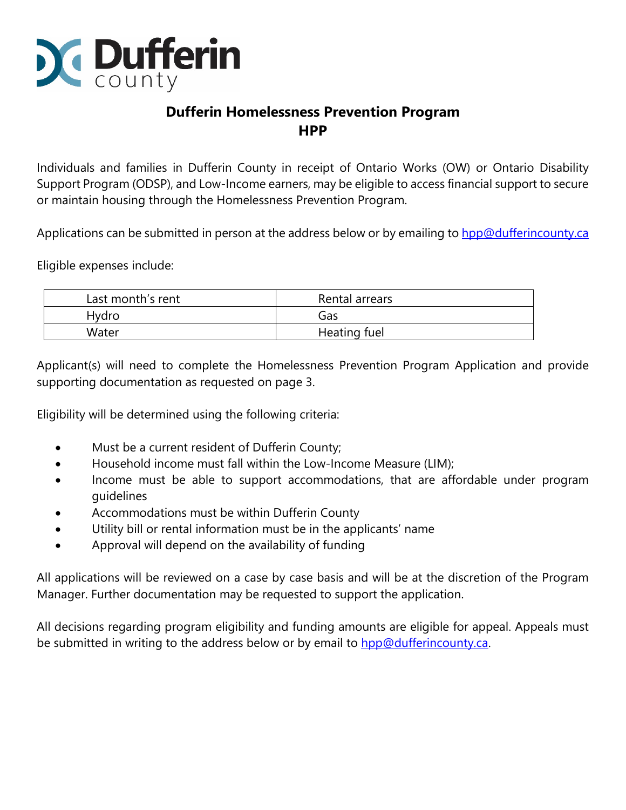

# **Dufferin Homelessness Prevention Program HPP**

Individuals and families in Dufferin County in receipt of Ontario Works (OW) or Ontario Disability Support Program (ODSP), and Low-Income earners, may be eligible to access financial support to secure or maintain housing through the Homelessness Prevention Program.

Applications can be submitted in person at the address below or by emailing to [hpp@dufferincounty.ca](mailto:hpp@dufferincounty.ca)

Eligible expenses include:

| Last month's rent | Rental arrears |
|-------------------|----------------|
| Hydro             | Gas            |
| Water             | Heating fuel   |

Applicant(s) will need to complete the Homelessness Prevention Program Application and provide supporting documentation as requested on page 3.

Eligibility will be determined using the following criteria:

- Must be a current resident of Dufferin County;
- Household income must fall within the Low-Income Measure (LIM);
- Income must be able to support accommodations, that are affordable under program guidelines
- Accommodations must be within Dufferin County
- Utility bill or rental information must be in the applicants' name
- Approval will depend on the availability of funding

All applications will be reviewed on a case by case basis and will be at the discretion of the Program Manager. Further documentation may be requested to support the application.

All decisions regarding program eligibility and funding amounts are eligible for appeal. Appeals must be submitted in writing to the address below or by email to [hpp@dufferincounty.ca.](mailto:HPP@dufferincounty.ca)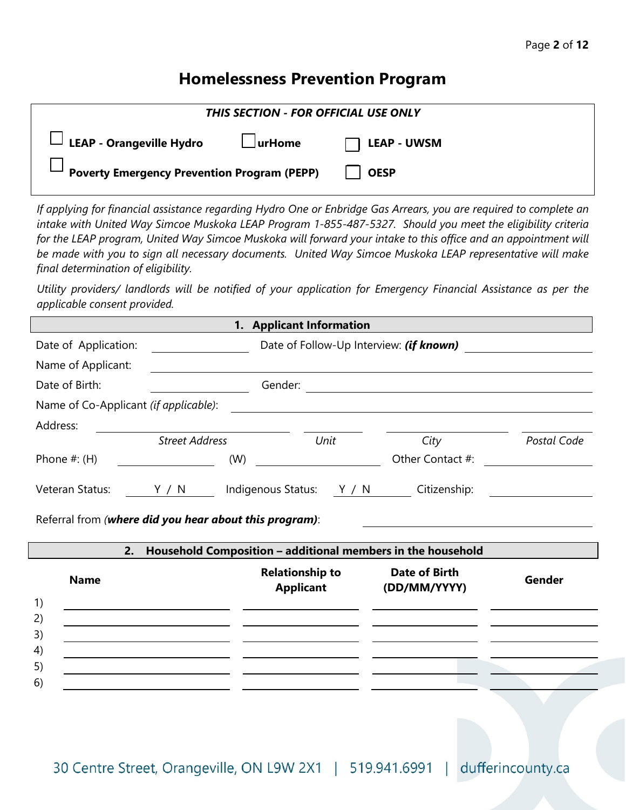## Page **2** of **12**

# **Homelessness Prevention Program**

| THIS SECTION - FOR OFFICIAL USE ONLY                             |             |  |
|------------------------------------------------------------------|-------------|--|
| $\Box$ LEAP - Orangeville Hydro $\Box$ urHome $\Box$ LEAP - UWSM |             |  |
| <b>Poverty Emergency Prevention Program (PEPP)</b>               | <b>OESP</b> |  |

*If applying for financial assistance regarding Hydro One or Enbridge Gas Arrears, you are required to complete an intake with United Way Simcoe Muskoka LEAP Program 1-855-487-5327. Should you meet the eligibility criteria for the LEAP program, United Way Simcoe Muskoka will forward your intake to this office and an appointment will be made with you to sign all necessary documents. United Way Simcoe Muskoka LEAP representative will make final determination of eligibility.*

*Utility providers/ landlords will be notified of your application for Emergency Financial Assistance as per the applicable consent provided.* 

|                                                                           |                                                   | 1. Applicant Information                   |                                                                                                                       |             |
|---------------------------------------------------------------------------|---------------------------------------------------|--------------------------------------------|-----------------------------------------------------------------------------------------------------------------------|-------------|
| Date of Application:                                                      |                                                   |                                            | Date of Follow-Up Interview: <i>(if known)</i> 2008 2012 2022 2023                                                    |             |
| Name of Applicant:                                                        |                                                   |                                            |                                                                                                                       |             |
| Date of Birth:                                                            |                                                   |                                            |                                                                                                                       |             |
| Name of Co-Applicant (if applicable):                                     |                                                   |                                            | <u> 1989 - Johann Stoff, deutscher Stoff, der Stoff, der Stoff, der Stoff, der Stoff, der Stoff, der Stoff, der S</u> |             |
| Address:                                                                  |                                                   |                                            |                                                                                                                       |             |
|                                                                           | <b>Street Address</b>                             | Unit                                       | City                                                                                                                  | Postal Code |
| Phone $#:$ (H)                                                            | (W)                                               |                                            | Other Contact #:                                                                                                      |             |
| Veteran Status:<br>Referral from (where did you hear about this program): | Y / N                                             | Indigenous Status: Y / N                   | Citizenship:                                                                                                          |             |
| 2.                                                                        |                                                   |                                            | Household Composition - additional members in the household                                                           |             |
| <b>Name</b>                                                               |                                                   | <b>Relationship to</b><br><b>Applicant</b> | <b>Date of Birth</b><br>(DD/MM/YYYY)                                                                                  | Gender      |
| 1)                                                                        |                                                   |                                            |                                                                                                                       |             |
| 2)                                                                        |                                                   |                                            |                                                                                                                       |             |
| 3)                                                                        |                                                   |                                            |                                                                                                                       |             |
| 4)                                                                        | <u> 1989 - Johann Barbara, martxa alemaniar a</u> |                                            |                                                                                                                       |             |
| 5)                                                                        |                                                   |                                            |                                                                                                                       |             |
| 6)                                                                        |                                                   |                                            |                                                                                                                       |             |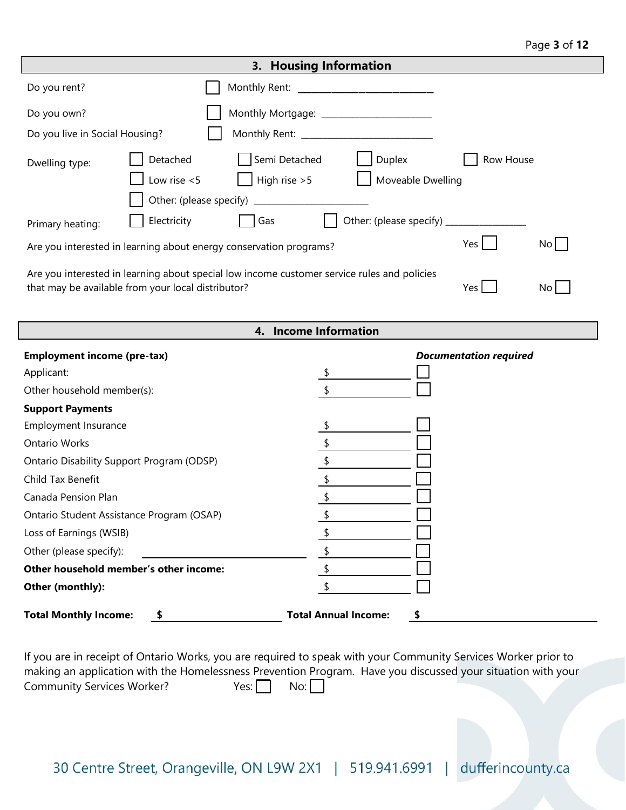### Page **3** of **12**

| 3. Housing Information                                                                                                                                                      |                                                                                                                                                           |                                           |                               |
|-----------------------------------------------------------------------------------------------------------------------------------------------------------------------------|-----------------------------------------------------------------------------------------------------------------------------------------------------------|-------------------------------------------|-------------------------------|
| Do you rent?                                                                                                                                                                |                                                                                                                                                           |                                           |                               |
| Do you own?                                                                                                                                                                 |                                                                                                                                                           | Monthly Mortgage: _______________________ |                               |
| Do you live in Social Housing?                                                                                                                                              |                                                                                                                                                           |                                           |                               |
| Dwelling type:<br>Primary heating:                                                                                                                                          | Detached<br>Semi Detached<br>High rise $>5$<br>Low rise $<$ 5<br>Electricity<br>Gas<br>Are you interested in learning about energy conservation programs? | Duplex<br>Moveable Dwelling               | Row House<br>Yes<br>No        |
| Are you interested in learning about special low income customer service rules and policies<br>that may be available from your local distributor?<br>Yes<br>No <sub>1</sub> |                                                                                                                                                           |                                           |                               |
|                                                                                                                                                                             |                                                                                                                                                           | 4. Income Information                     |                               |
| <b>Employment income (pre-tax)</b>                                                                                                                                          |                                                                                                                                                           |                                           | <b>Documentation required</b> |
| Applicant:                                                                                                                                                                  |                                                                                                                                                           |                                           |                               |
| Other household member(s):                                                                                                                                                  |                                                                                                                                                           | \$                                        |                               |
| <b>Support Payments</b>                                                                                                                                                     |                                                                                                                                                           |                                           |                               |
| Employment Insurance                                                                                                                                                        |                                                                                                                                                           |                                           |                               |
| <b>Ontario Works</b>                                                                                                                                                        |                                                                                                                                                           |                                           |                               |
| Ontario Disability Support Program (ODSP)                                                                                                                                   |                                                                                                                                                           | \$                                        |                               |
| Child Tax Benefit                                                                                                                                                           |                                                                                                                                                           | \$                                        |                               |
| Canada Pension Plan                                                                                                                                                         |                                                                                                                                                           | \$                                        |                               |
|                                                                                                                                                                             | Ontario Student Assistance Program (OSAP)                                                                                                                 |                                           |                               |
| Loss of Earnings (WSIB)                                                                                                                                                     |                                                                                                                                                           |                                           |                               |
| Other (please specify):                                                                                                                                                     |                                                                                                                                                           |                                           |                               |
|                                                                                                                                                                             | Other household member's other income:                                                                                                                    | \$                                        |                               |
| Other (monthly):                                                                                                                                                            |                                                                                                                                                           | \$                                        |                               |

**Total Monthly Income: \$ Total Annual Income: \$**

If you are in receipt of Ontario Works, you are required to speak with your Community Services Worker prior to making an application with the Homelessness Prevention Program. Have you discussed your situation with your Community Services Worker? Yes: No: No: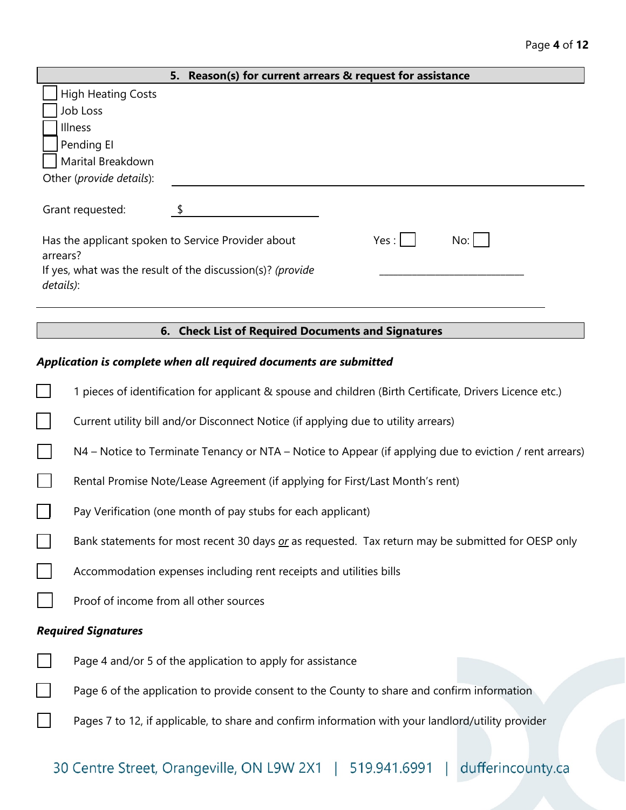|                           | 5. Reason(s) for current arrears & request for assistance  |      |     |
|---------------------------|------------------------------------------------------------|------|-----|
| <b>High Heating Costs</b> |                                                            |      |     |
| Job Loss                  |                                                            |      |     |
| Illness                   |                                                            |      |     |
| Pending El                |                                                            |      |     |
| Marital Breakdown         |                                                            |      |     |
| Other (provide details):  |                                                            |      |     |
| Grant requested:          |                                                            |      |     |
| arrears?                  | Has the applicant spoken to Service Provider about         | Yes: | No: |
| details):                 | If yes, what was the result of the discussion(s)? (provide |      |     |
|                           |                                                            |      |     |

## **6. Check List of Required Documents and Signatures**

## *Application is complete when all required documents are submitted*

| 1 pieces of identification for applicant & spouse and children (Birth Certificate, Drivers Licence etc.) |
|----------------------------------------------------------------------------------------------------------|
| Current utility bill and/or Disconnect Notice (if applying due to utility arrears)                       |
| N4 – Notice to Terminate Tenancy or NTA – Notice to Appear (if applying due to eviction / rent arrears)  |
| Rental Promise Note/Lease Agreement (if applying for First/Last Month's rent)                            |
| Pay Verification (one month of pay stubs for each applicant)                                             |
| Bank statements for most recent 30 days or as requested. Tax return may be submitted for OESP only       |
| Accommodation expenses including rent receipts and utilities bills                                       |
| Proof of income from all other sources                                                                   |
| <b>Required Signatures</b>                                                                               |
| Page 4 and/or 5 of the application to apply for assistance                                               |
| Page 6 of the application to provide consent to the County to share and confirm information              |
| Pages 7 to 12, if applicable, to share and confirm information with your landlord/utility provider       |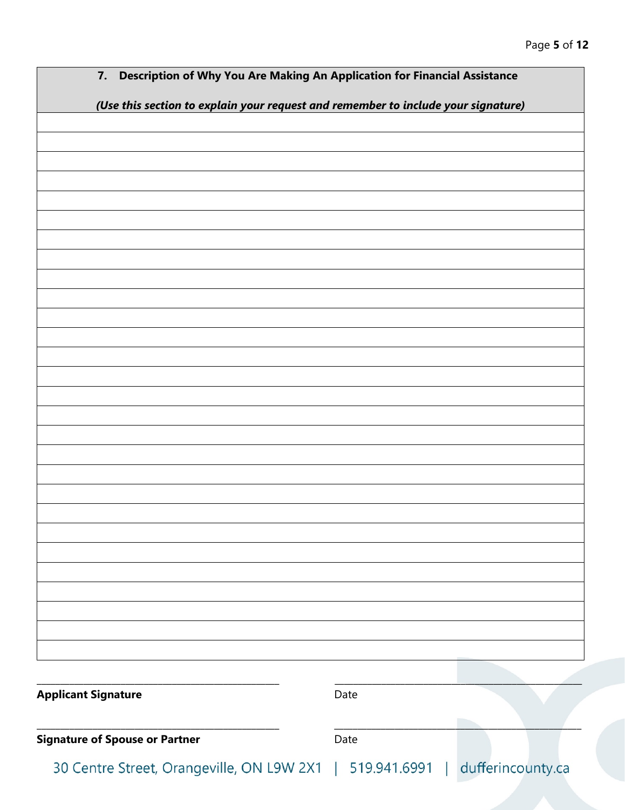| Description of Why You Are Making An Application for Financial Assistance<br>7.   |      |  |
|-----------------------------------------------------------------------------------|------|--|
| (Use this section to explain your request and remember to include your signature) |      |  |
|                                                                                   |      |  |
|                                                                                   |      |  |
|                                                                                   |      |  |
|                                                                                   |      |  |
|                                                                                   |      |  |
|                                                                                   |      |  |
|                                                                                   |      |  |
|                                                                                   |      |  |
|                                                                                   |      |  |
|                                                                                   |      |  |
|                                                                                   |      |  |
|                                                                                   |      |  |
|                                                                                   |      |  |
|                                                                                   |      |  |
|                                                                                   |      |  |
|                                                                                   |      |  |
|                                                                                   |      |  |
|                                                                                   |      |  |
|                                                                                   |      |  |
|                                                                                   |      |  |
|                                                                                   |      |  |
|                                                                                   |      |  |
|                                                                                   |      |  |
|                                                                                   |      |  |
|                                                                                   |      |  |
|                                                                                   |      |  |
|                                                                                   |      |  |
|                                                                                   |      |  |
| <b>Applicant Signature</b>                                                        | Date |  |
|                                                                                   |      |  |
|                                                                                   |      |  |
| <b>Signature of Spouse or Partner</b>                                             | Date |  |
| 30 Centre Street, Orangeville, ON L9W 2X1   519.941.6991   dufferincounty.ca      |      |  |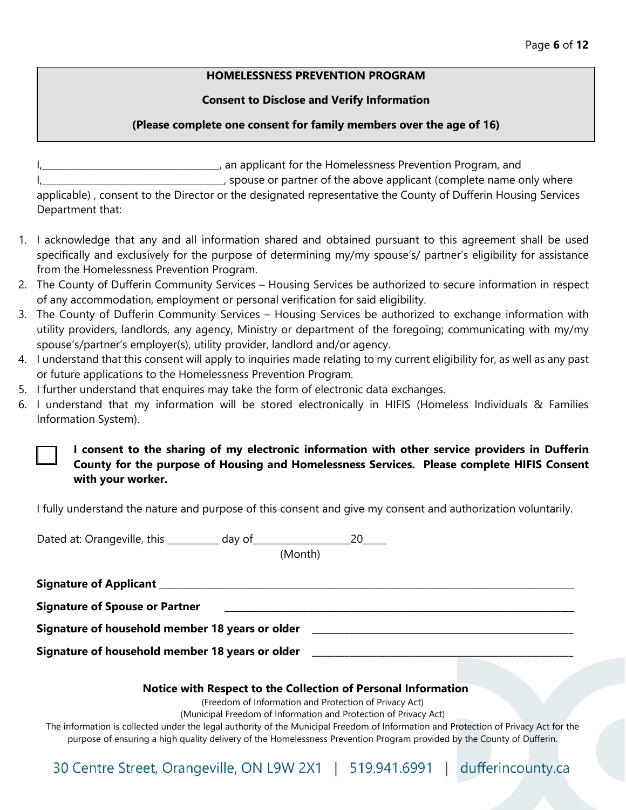### **HOMELESSNESS PREVENTION PROGRAM**

### **Consent to Disclose and Verify Information**

## **(Please complete one consent for family members over the age of 16)**

I,\_\_\_\_\_\_\_\_\_\_\_\_\_\_\_\_\_\_\_\_\_\_\_\_\_\_\_\_\_\_\_\_\_\_\_\_\_\_, an applicant for the Homelessness Prevention Program, and

I, spouse or partner of the above applicant (complete name only where applicable) , consent to the Director or the designated representative the County of Dufferin Housing Services Department that:

- 1. I acknowledge that any and all information shared and obtained pursuant to this agreement shall be used specifically and exclusively for the purpose of determining my/my spouse's/ partner's eligibility for assistance from the Homelessness Prevention Program.
- 2. The County of Dufferin Community Services Housing Services be authorized to secure information in respect of any accommodation, employment or personal verification for said eligibility.
- 3. The County of Dufferin Community Services Housing Services be authorized to exchange information with utility providers, landlords, any agency, Ministry or department of the foregoing; communicating with my/my spouse's/partner's employer(s), utility provider, landlord and/or agency.
- 4. I understand that this consent will apply to inquiries made relating to my current eligibility for, as well as any past or future applications to the Homelessness Prevention Program.
- 5. I further understand that enquires may take the form of electronic data exchanges.
- 6. I understand that my information will be stored electronically in HIFIS (Homeless Individuals & Families Information System).

**I consent to the sharing of my electronic information with other service providers in Dufferin County for the purpose of Housing and Homelessness Services. Please complete HIFIS Consent with your worker.** 

I fully understand the nature and purpose of this consent and give my consent and authorization voluntarily.

| Dated at: Orangeville, this _________ day of ___________ | 20                                                                                                                                   |
|----------------------------------------------------------|--------------------------------------------------------------------------------------------------------------------------------------|
|                                                          | (Month)                                                                                                                              |
|                                                          |                                                                                                                                      |
| <b>Signature of Spouse or Partner</b>                    |                                                                                                                                      |
| Signature of household member 18 years or older          |                                                                                                                                      |
| Signature of household member 18 years or older          |                                                                                                                                      |
|                                                          | Notice with Respect to the Collection of Personal Information                                                                        |
|                                                          | (Freedom of Information and Protection of Privacy Act)                                                                               |
|                                                          | (Municipal Freedom of Information and Protection of Privacy Act)                                                                     |
|                                                          | The information is collected under the legal authority of the Municipal Freedom of Information and Protection of Privacy Act for the |
|                                                          | purpose of ensuring a high quality delivery of the Homelessness Prevention Program provided by the County of Dufferin.               |

30 Centre Street, Orangeville, ON L9W 2X1 | 519.941.6991 | dufferincounty.ca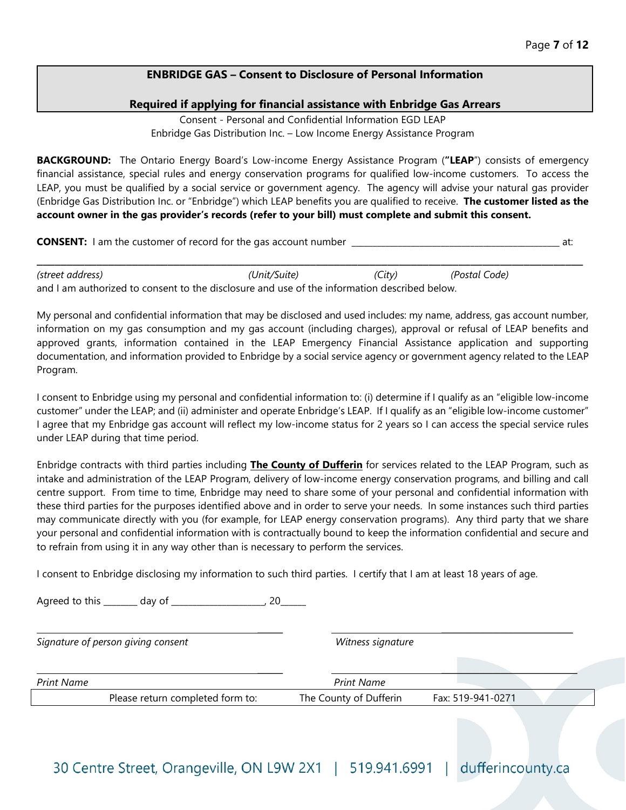## **ENBRIDGE GAS – Consent to Disclosure of Personal Information**

#### **Required if applying for financial assistance with Enbridge Gas Arrears**

Consent - Personal and Confidential Information EGD LEAP Enbridge Gas Distribution Inc. – Low Income Energy Assistance Program

**BACKGROUND:** The Ontario Energy Board's Low-income Energy Assistance Program (**"LEAP**") consists of emergency financial assistance, special rules and energy conservation programs for qualified low-income customers. To access the LEAP, you must be qualified by a social service or government agency. The agency will advise your natural gas provider (Enbridge Gas Distribution Inc. or "Enbridge") which LEAP benefits you are qualified to receive. **The customer listed as the account owner in the gas provider's records (refer to your bill) must complete and submit this consent.**

**CONSENT:** I am the customer of record for the gas account number \_\_\_\_\_\_\_\_\_\_\_\_\_\_\_\_\_\_\_\_\_\_\_\_\_\_\_\_\_\_\_\_\_\_\_\_\_\_\_\_\_\_\_\_\_\_\_\_\_ at:

\_\_\_\_\_\_\_\_\_\_\_\_\_\_\_\_\_\_\_\_\_\_\_\_\_\_\_\_\_\_\_\_\_\_\_\_\_\_\_\_\_\_\_\_\_\_\_\_\_\_\_\_\_\_\_\_\_\_\_\_\_\_\_\_\_\_\_\_\_\_\_\_\_\_\_\_\_\_\_\_\_\_\_\_\_\_\_\_\_\_\_\_

*(street address) (Unit/Suite) (City) (Postal Code)* and I am authorized to consent to the disclosure and use of the information described below.

My personal and confidential information that may be disclosed and used includes: my name, address, gas account number, information on my gas consumption and my gas account (including charges), approval or refusal of LEAP benefits and approved grants, information contained in the LEAP Emergency Financial Assistance application and supporting documentation, and information provided to Enbridge by a social service agency or government agency related to the LEAP Program.

I consent to Enbridge using my personal and confidential information to: (i) determine if I qualify as an "eligible low-income customer" under the LEAP; and (ii) administer and operate Enbridge's LEAP. If I qualify as an "eligible low-income customer" I agree that my Enbridge gas account will reflect my low-income status for 2 years so I can access the special service rules under LEAP during that time period.

Enbridge contracts with third parties including **The County of Dufferin** for services related to the LEAP Program, such as intake and administration of the LEAP Program, delivery of low-income energy conservation programs, and billing and call centre support. From time to time, Enbridge may need to share some of your personal and confidential information with these third parties for the purposes identified above and in order to serve your needs. In some instances such third parties may communicate directly with you (for example, for LEAP energy conservation programs). Any third party that we share your personal and confidential information with is contractually bound to keep the information confidential and secure and to refrain from using it in any way other than is necessary to perform the services.

I consent to Enbridge disclosing my information to such third parties. I certify that I am at least 18 years of age.

Agreed to this \_\_\_\_\_\_\_\_ day of \_\_\_\_\_\_\_\_\_\_\_\_\_\_\_\_\_\_\_\_\_\_\_, 20

*Signature of person giving consent Witness signature*

\_\_\_\_\_\_ \_\_\_\_\_\_\_\_\_\_\_\_\_\_\_\_\_\_\_\_\_\_\_\_\_\_\_\_\_\_\_

| Print Name |                                  | <b>Print Name</b>      |                   |  |
|------------|----------------------------------|------------------------|-------------------|--|
|            | Please return completed form to: | The County of Dufferin | Fax: 519-941-0271 |  |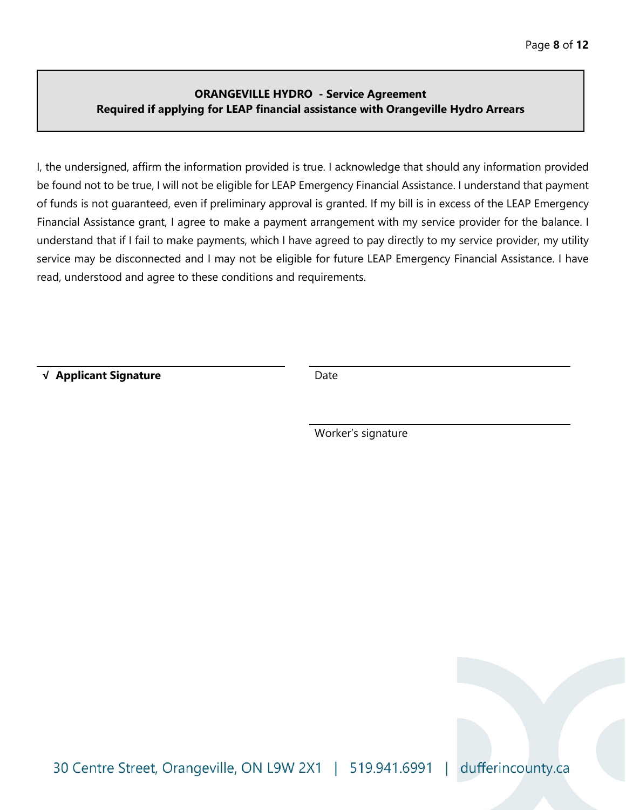## **ORANGEVILLE HYDRO - Service Agreement Required if applying for LEAP financial assistance with Orangeville Hydro Arrears**

I, the undersigned, affirm the information provided is true. I acknowledge that should any information provided be found not to be true, I will not be eligible for LEAP Emergency Financial Assistance. I understand that payment of funds is not guaranteed, even if preliminary approval is granted. If my bill is in excess of the LEAP Emergency Financial Assistance grant, I agree to make a payment arrangement with my service provider for the balance. I understand that if I fail to make payments, which I have agreed to pay directly to my service provider, my utility service may be disconnected and I may not be eligible for future LEAP Emergency Financial Assistance. I have read, understood and agree to these conditions and requirements.

√ **Applicant Signature** Date

Worker's signature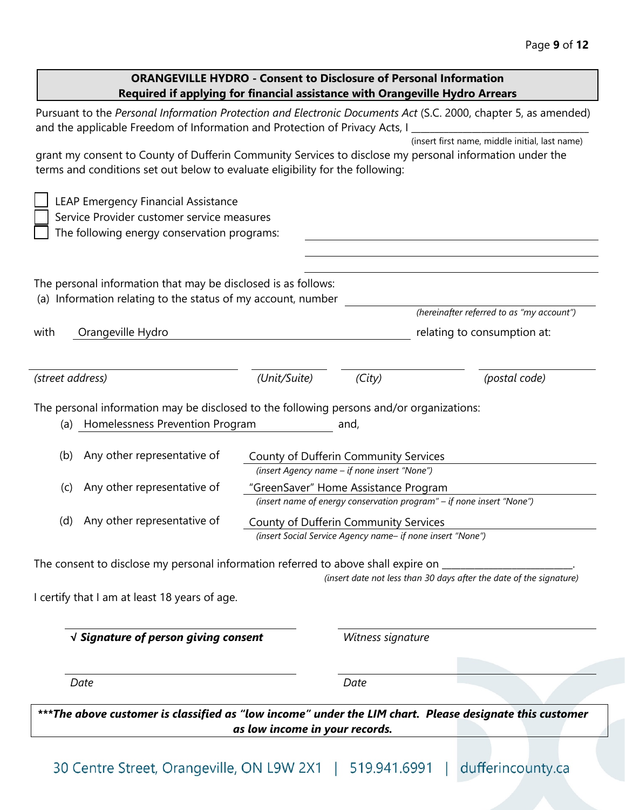## **ORANGEVILLE HYDRO - Consent to Disclosure of Personal Information Required if applying for financial assistance with Orangeville Hydro Arrears**

| Pursuant to the Personal Information Protection and Electronic Documents Act (S.C. 2000, chapter 5, as amended)<br>and the applicable Freedom of Information and Protection of Privacy Acts, I |                                                                                                               |                   |                                                                     |
|------------------------------------------------------------------------------------------------------------------------------------------------------------------------------------------------|---------------------------------------------------------------------------------------------------------------|-------------------|---------------------------------------------------------------------|
| grant my consent to County of Dufferin Community Services to disclose my personal information under the<br>terms and conditions set out below to evaluate eligibility for the following:       |                                                                                                               |                   | (insert first name, middle initial, last name)                      |
| LEAP Emergency Financial Assistance<br>Service Provider customer service measures<br>The following energy conservation programs:                                                               |                                                                                                               |                   |                                                                     |
| The personal information that may be disclosed is as follows:<br>(a) Information relating to the status of my account, number                                                                  |                                                                                                               |                   | (hereinafter referred to as "my account")                           |
| Orangeville Hydro<br>with                                                                                                                                                                      |                                                                                                               |                   | relating to consumption at:                                         |
| (street address)                                                                                                                                                                               | (Unit/Suite)                                                                                                  | (City)            | (postal code)                                                       |
| The personal information may be disclosed to the following persons and/or organizations:<br>(a) Homelessness Prevention Program                                                                |                                                                                                               | and,              |                                                                     |
| Any other representative of<br>(b)                                                                                                                                                             | County of Dufferin Community Services<br>(insert Agency name - if none insert "None")                         |                   |                                                                     |
| Any other representative of<br>(c)                                                                                                                                                             | "GreenSaver" Home Assistance Program<br>(insert name of energy conservation program" - if none insert "None") |                   |                                                                     |
| Any other representative of<br>(d)                                                                                                                                                             | County of Dufferin Community Services<br>(insert Social Service Agency name- if none insert "None")           |                   |                                                                     |
| The consent to disclose my personal information referred to above shall expire on                                                                                                              |                                                                                                               |                   | (insert date not less than 30 days after the date of the signature) |
| I certify that I am at least 18 years of age.                                                                                                                                                  |                                                                                                               |                   |                                                                     |
| $\sqrt{ }$ Signature of person giving consent                                                                                                                                                  |                                                                                                               | Witness signature |                                                                     |
| Date                                                                                                                                                                                           |                                                                                                               | Date              |                                                                     |
| ***The above customer is classified as "low income" under the LIM chart. Please designate this customer                                                                                        | as low income in your records.                                                                                |                   |                                                                     |
|                                                                                                                                                                                                |                                                                                                               |                   |                                                                     |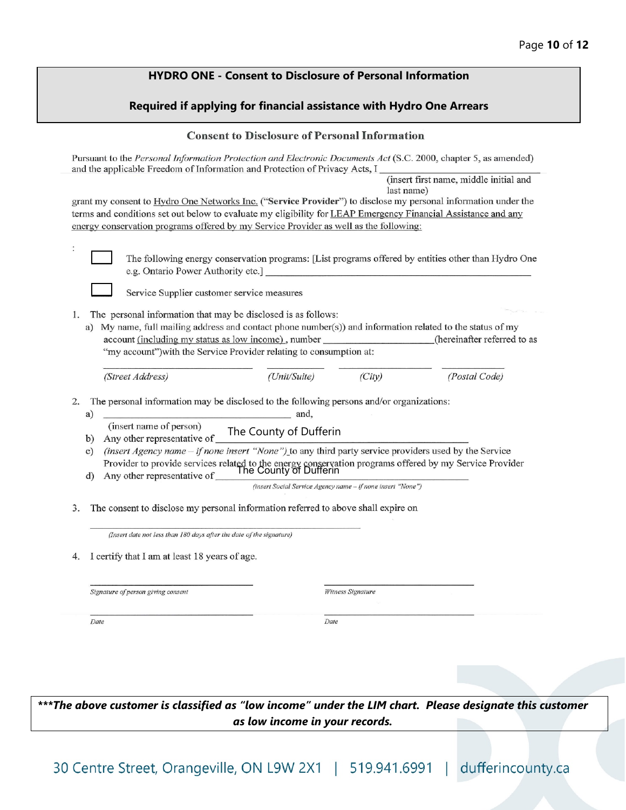## **HYDRO ONE - Consent to Disclosure of Personal Information**

### **Required if applying for financial assistance with Hydro One Arrears**

#### **Consent to Disclosure of Personal Information**

| Pursuant to the Personal Information Protection and Electronic Documents Act (S.C. 2000, chapter 5, as amended)<br>and the applicable Freedom of Information and Protection of Privacy Acts, I |                                                                                                     |
|------------------------------------------------------------------------------------------------------------------------------------------------------------------------------------------------|-----------------------------------------------------------------------------------------------------|
|                                                                                                                                                                                                | (insert first name, middle initial and                                                              |
| grant my consent to Hydro One Networks Inc. ("Service Provider") to disclose my personal information under the                                                                                 | last name)                                                                                          |
| terms and conditions set out below to evaluate my eligibility for LEAP Emergency Financial Assistance and any                                                                                  |                                                                                                     |
| energy conservation programs offered by my Service Provider as well as the following:                                                                                                          |                                                                                                     |
|                                                                                                                                                                                                |                                                                                                     |
| e.g. Ontario Power Authority etc.]                                                                                                                                                             | The following energy conservation programs: [List programs offered by entities other than Hydro One |
| Service Supplier customer service measures                                                                                                                                                     |                                                                                                     |
| The personal information that may be disclosed is as follows:<br>1.                                                                                                                            |                                                                                                     |
| a) My name, full mailing address and contact phone number(s)) and information related to the status of my                                                                                      |                                                                                                     |
| account (including my status as low income), number                                                                                                                                            | (hereinafter referred to as                                                                         |
| "my account") with the Service Provider relating to consumption at:                                                                                                                            |                                                                                                     |
|                                                                                                                                                                                                |                                                                                                     |
| (Unit/Suite)<br>(Street Address)                                                                                                                                                               | (City)<br>(Postal Code)                                                                             |
|                                                                                                                                                                                                |                                                                                                     |
| The personal information may be disclosed to the following persons and/or organizations:<br>2.<br>and,                                                                                         |                                                                                                     |
| a)<br>(insert name of person)                                                                                                                                                                  |                                                                                                     |
| The County of Dufferin<br>Any other representative of<br>b)                                                                                                                                    |                                                                                                     |
| (insert Agency name - if none insert "None") to any third party service providers used by the Service<br>$\mathbf{c}$                                                                          |                                                                                                     |
| Provider to provide services related to the energy conservation programs offered by my Service Provider                                                                                        |                                                                                                     |
| The County of Dufferin<br>Any other representative of<br>d)                                                                                                                                    |                                                                                                     |
|                                                                                                                                                                                                | (insert Social Service Agency name - if none insert "None")                                         |
| The consent to disclose my personal information referred to above shall expire on<br>3.                                                                                                        |                                                                                                     |
| (Insert date not less than 180 days after the date of the signature)                                                                                                                           |                                                                                                     |
| I certify that I am at least 18 years of age.<br>4.                                                                                                                                            |                                                                                                     |
|                                                                                                                                                                                                |                                                                                                     |
|                                                                                                                                                                                                |                                                                                                     |
| Signature of person giving consent                                                                                                                                                             | <b>Witness Signature</b>                                                                            |
|                                                                                                                                                                                                |                                                                                                     |
| Date                                                                                                                                                                                           | Date                                                                                                |
|                                                                                                                                                                                                |                                                                                                     |
|                                                                                                                                                                                                |                                                                                                     |

*\*\*\*The above customer is classified as "low income" under the LIM chart. Please designate this customer as low income in your records.*

30 Centre Street, Orangeville, ON L9W 2X1 | 519.941.6991 | dufferincounty.ca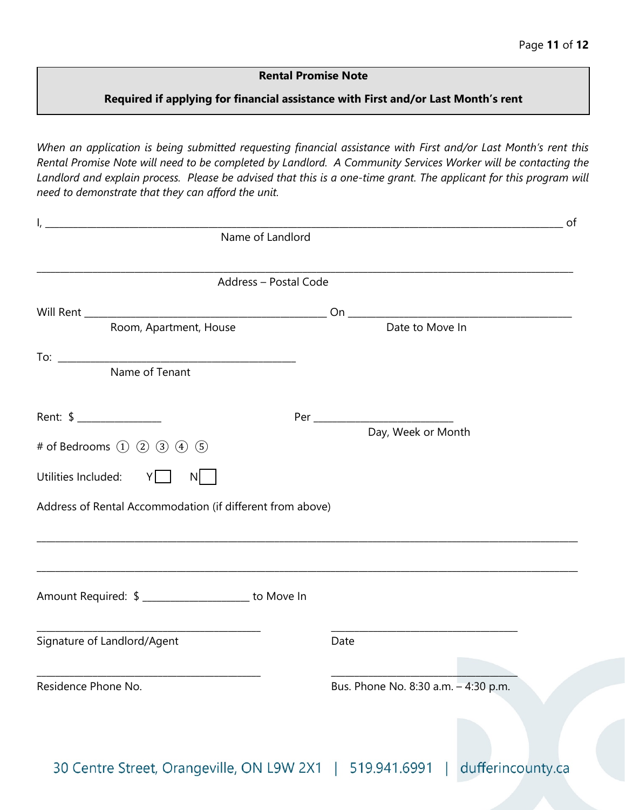## **Rental Promise Note**

## **Required if applying for financial assistance with First and/or Last Month's rent**

*When an application is being submitted requesting financial assistance with First and/or Last Month's rent this Rental Promise Note will need to be completed by Landlord. A Community Services Worker will be contacting the Landlord and explain process. Please be advised that this is a one-time grant. The applicant for this program will need to demonstrate that they can afford the unit.*

| Name of Landlord                                                                                                                                     | of                                   |
|------------------------------------------------------------------------------------------------------------------------------------------------------|--------------------------------------|
| <u> 1989 - Johann Barn, mars eta bat erroman erroman erroman erroman erroman erroman erroman erroman erroman err</u><br>Address - Postal Code        |                                      |
|                                                                                                                                                      |                                      |
| Room, Apartment, House                                                                                                                               | Date to Move In                      |
|                                                                                                                                                      |                                      |
| Rent: \$ _______________                                                                                                                             | Day, Week or Month                   |
| # of Bedrooms $(1)$ $(2)$ $(3)$ $(4)$ $(5)$                                                                                                          |                                      |
| Utilities Included: Y<br>$N$                                                                                                                         |                                      |
| Address of Rental Accommodation (if different from above)                                                                                            |                                      |
| Amount Required: \$ ____________________ to Move In                                                                                                  |                                      |
| <u> 1980 - Johann Barn, mars ann an t-Amhain an t-Amhain an t-Amhain an t-Amhain an t-Amhain an t-Amhain an t-Amh</u><br>Signature of Landlord/Agent | Date                                 |
| <u> 1989 - Johann John Stone, mars et al. 1989 - John Stone, mars et al. 1989 - John Stone, mars et al. 1989 - Joh</u><br>Residence Phone No.        | Bus. Phone No. 8:30 a.m. - 4:30 p.m. |

dufferincounty.ca 30 Centre Street, Orangeville, ON L9W 2X1 | 519.941.6991